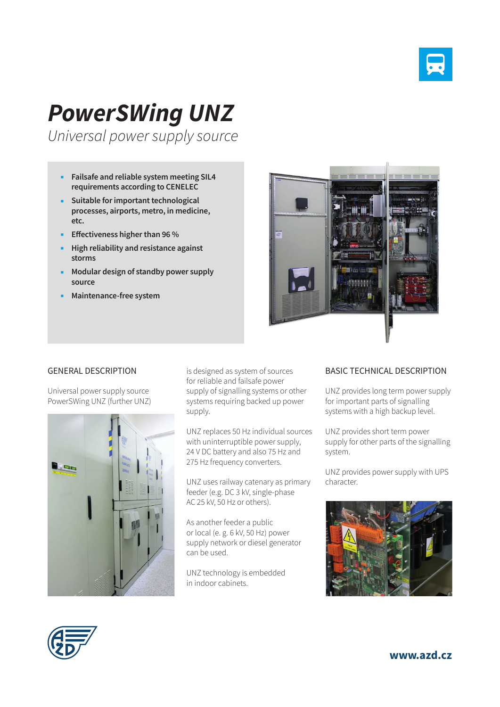

## *PowerSWing UNZ*

*Universal power supply source*

- **Failsafe and reliable system meeting SIL4 requirements according to CENELEC**
- **Suitable for important technological processes, airports, metro, in medicine, etc.**
- **Effectiveness higher than 96 %**
- **High reliability and resistance against storms**
- **Modular design of standby power supply source**
- **Maintenance-free system**



## GENERAL DESCRIPTION

Universal power supply source PowerSWing UNZ (further UNZ)



is designed as system of sources for reliable and failsafe power supply of signalling systems or other systems requiring backed up power supply.

UNZ replaces 50 Hz individual sources with uninterruptible power supply, 24 V DC battery and also 75 Hz and 275 Hz frequency converters.

UNZ uses railway catenary as primary feeder (e.g. DC 3 kV, single-phase AC 25 kV, 50 Hz or others).

As another feeder a public or local (e. g. 6 kV, 50 Hz) power supply network or diesel generator can be used.

UNZ technology is embedded in indoor cabinets.

## BASIC TECHNICAL DESCRIPTION

UNZ provides long term power supply for important parts of signalling systems with a high backup level.

UNZ provides short term power supply for other parts of the signalling system.

UNZ provides power supply with UPS character.